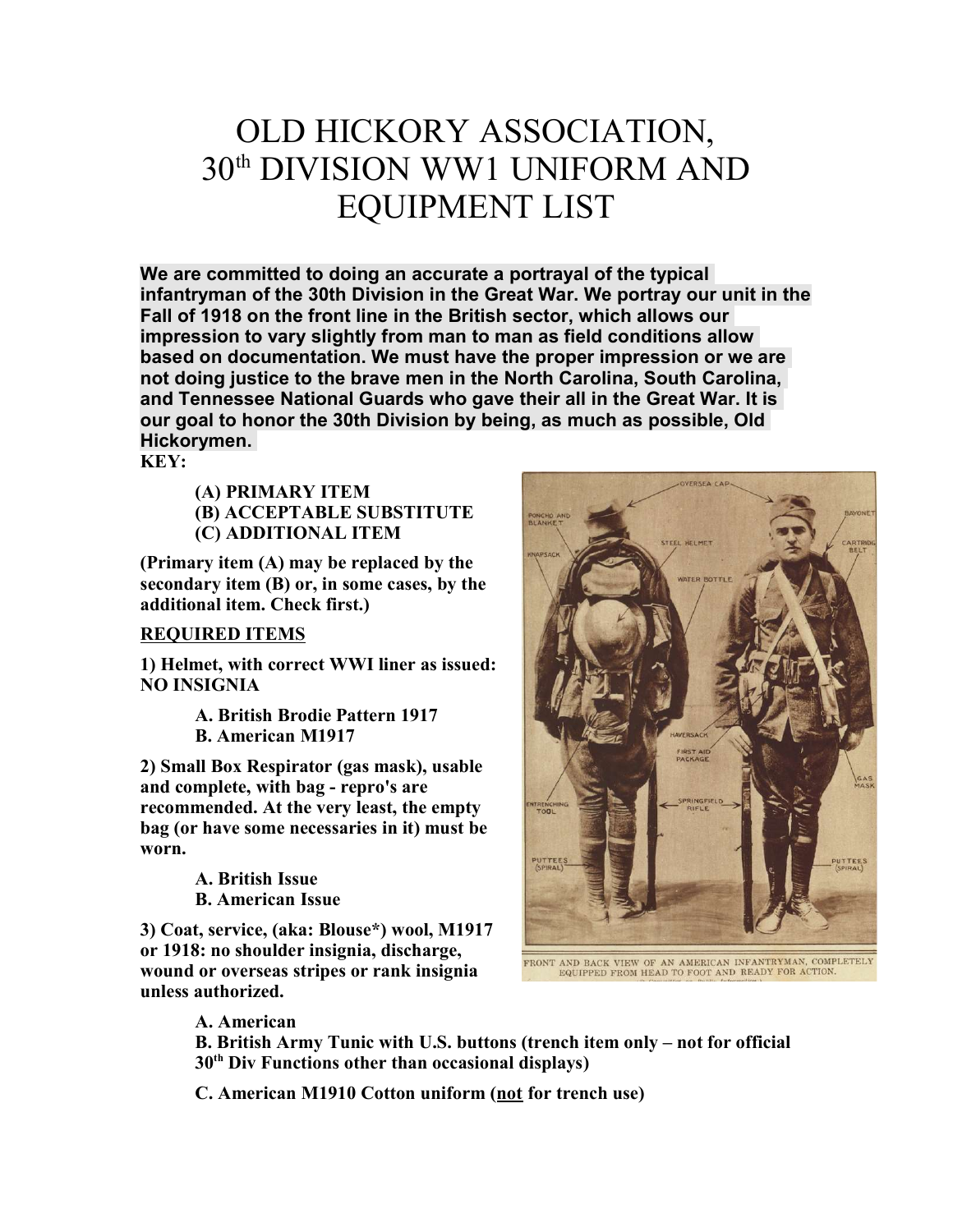# OLD HICKORY ASSOCIATION, 30th DIVISION WW1 UNIFORM AND EQUIPMENT LIST

We are committed to doing an accurate a portrayal of the typical infantryman of the 30th Division in the Great War. We portray our unit in the Fall of 1918 on the front line in the British sector, which allows our impression to vary slightly from man to man as field conditions allow based on documentation. We must have the proper impression or we are not doing justice to the brave men in the North Carolina, South Carolina, and Tennessee National Guards who gave their all in the Great War. It is our goal to honor the 30th Division by being, as much as possible, Old Hickorymen.

KEY:

(A) PRIMARY ITEM (B) ACCEPTABLE SUBSTITUTE (C) ADDITIONAL ITEM

(Primary item (A) may be replaced by the secondary item (B) or, in some cases, by the additional item. Check first.)

## REQUIRED ITEMS

1) Helmet, with correct WWI liner as issued: NO INSIGNIA

> A. British Brodie Pattern 1917 B. American M1917

2) Small Box Respirator (gas mask), usable and complete, with bag - repro's are recommended. At the very least, the empty bag (or have some necessaries in it) must be worn.

> A. British Issue B. American Issue

3) Coat, service, (aka: Blouse\*) wool, M1917 or 1918: no shoulder insignia, discharge, wound or overseas stripes or rank insignia unless authorized.



FRONT AND BACK VIEW OF AN AMERICAN INFANTRYMAN, COMPLETELY EQUIPPED FROM HEAD TO FOOT AND READY FOR ACTION.

A. American

B. British Army Tunic with U.S. buttons (trench item only – not for official  $30<sup>th</sup>$  Div Functions other than occasional displays)

C. American M1910 Cotton uniform (not for trench use)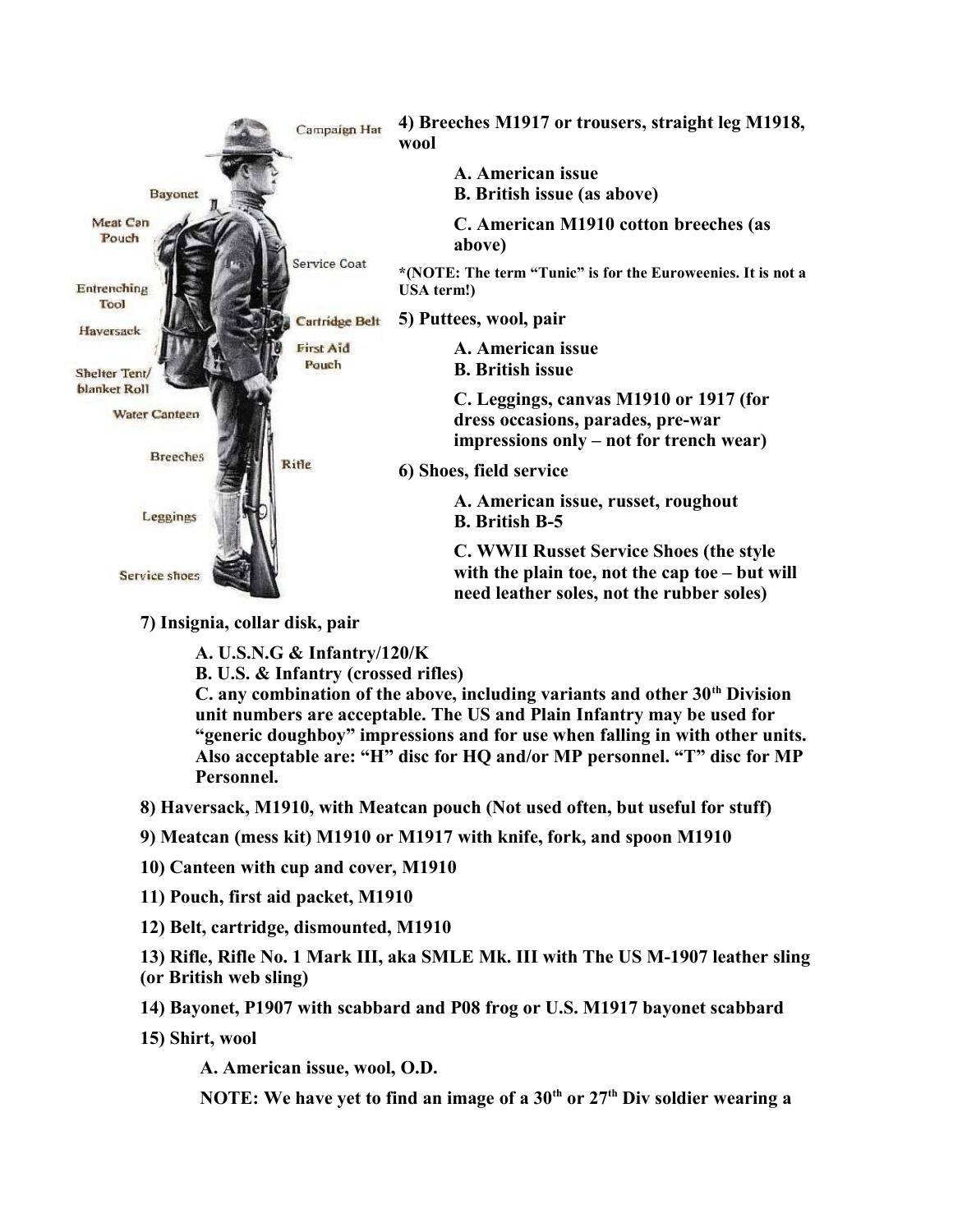

7) Insignia, collar disk, pair

A. U.S.N.G & Infantry/120/K

B. U.S. & Infantry (crossed rifles)

C. any combination of the above, including variants and other  $30<sup>th</sup>$  Division unit numbers are acceptable. The US and Plain Infantry may be used for "generic doughboy" impressions and for use when falling in with other units. Also acceptable are: "H" disc for HQ and/or MP personnel. "T" disc for MP Personnel.

8) Haversack, M1910, with Meatcan pouch (Not used often, but useful for stuff)

9) Meatcan (mess kit) M1910 or M1917 with knife, fork, and spoon M1910

10) Canteen with cup and cover, M1910

11) Pouch, first aid packet, M1910

12) Belt, cartridge, dismounted, M1910

13) Rifle, Rifle No. 1 Mark III, aka SMLE Mk. III with The US M-1907 leather sling (or British web sling)

14) Bayonet, P1907 with scabbard and P08 frog or U.S. M1917 bayonet scabbard

15) Shirt, wool

A. American issue, wool, O.D.

NOTE: We have yet to find an image of a  $30<sup>th</sup>$  or  $27<sup>th</sup>$  Div soldier wearing a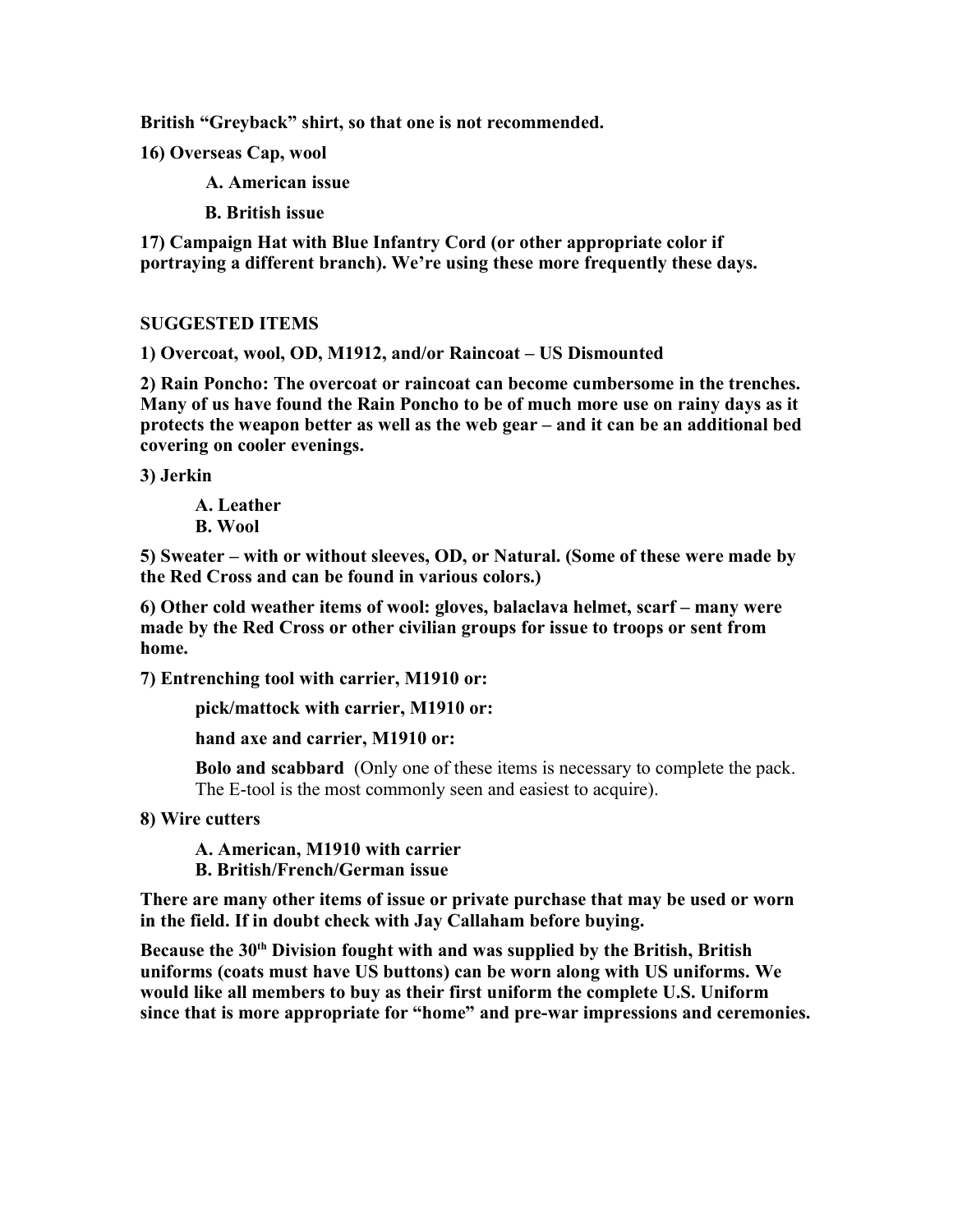British "Greyback" shirt, so that one is not recommended.

16) Overseas Cap, wool

A. American issue

B. British issue

17) Campaign Hat with Blue Infantry Cord (or other appropriate color if portraying a different branch). We're using these more frequently these days.

#### SUGGESTED ITEMS

1) Overcoat, wool, OD, M1912, and/or Raincoat – US Dismounted

2) Rain Poncho: The overcoat or raincoat can become cumbersome in the trenches. Many of us have found the Rain Poncho to be of much more use on rainy days as it protects the weapon better as well as the web gear – and it can be an additional bed covering on cooler evenings.

3) Jerkin

A. Leather B. Wool

5) Sweater – with or without sleeves, OD, or Natural. (Some of these were made by the Red Cross and can be found in various colors.)

6) Other cold weather items of wool: gloves, balaclava helmet, scarf – many were made by the Red Cross or other civilian groups for issue to troops or sent from home.

7) Entrenching tool with carrier, M1910 or:

pick/mattock with carrier, M1910 or:

hand axe and carrier, M1910 or:

Bolo and scabbard (Only one of these items is necessary to complete the pack. The E-tool is the most commonly seen and easiest to acquire).

8) Wire cutters

A. American, M1910 with carrier B. British/French/German issue

There are many other items of issue or private purchase that may be used or worn in the field. If in doubt check with Jay Callaham before buying.

Because the  $30<sup>th</sup>$  Division fought with and was supplied by the British, British uniforms (coats must have US buttons) can be worn along with US uniforms. We would like all members to buy as their first uniform the complete U.S. Uniform since that is more appropriate for "home" and pre-war impressions and ceremonies.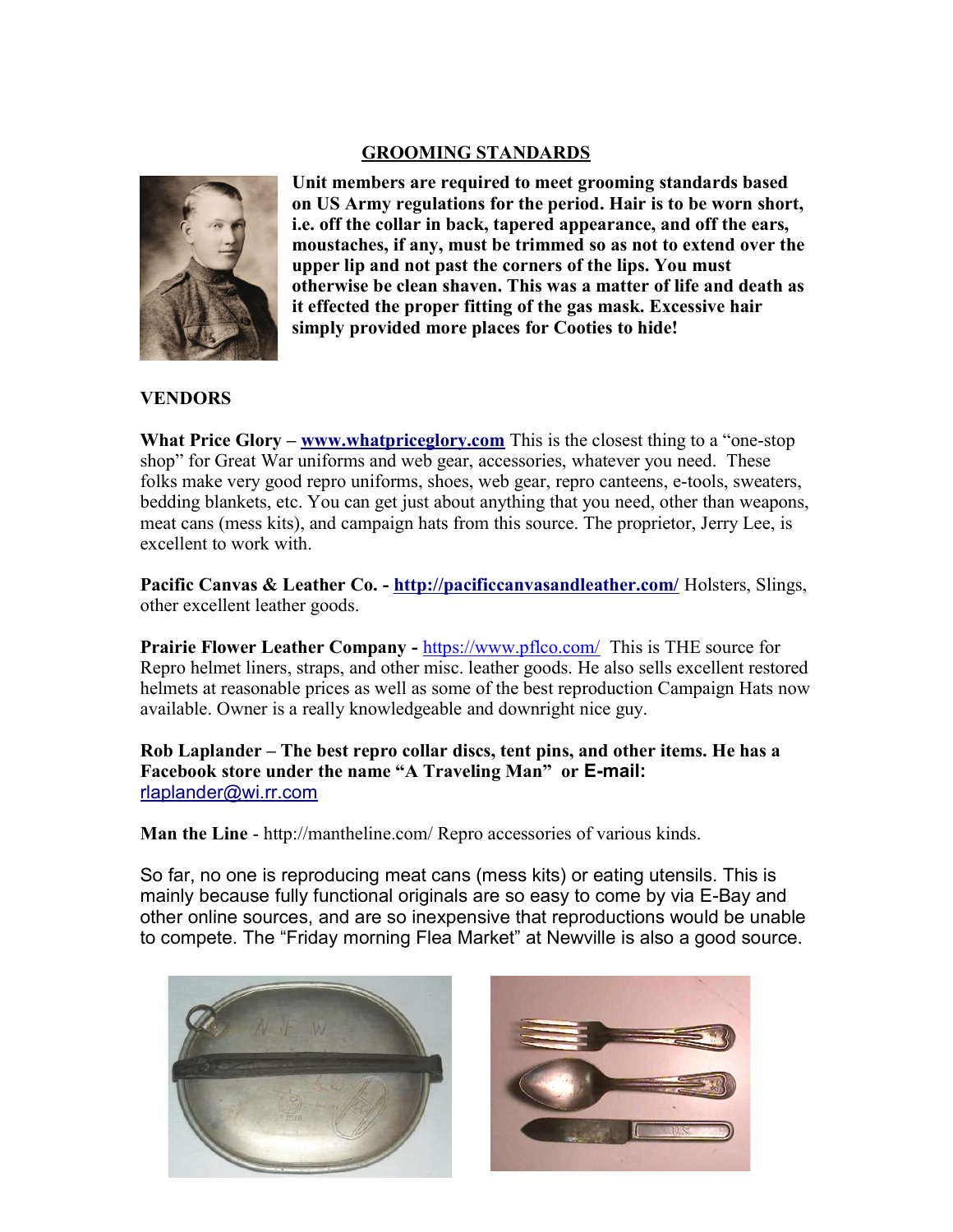#### GROOMING STANDARDS



Unit members are required to meet grooming standards based on US Army regulations for the period. Hair is to be worn short, i.e. off the collar in back, tapered appearance, and off the ears, moustaches, if any, must be trimmed so as not to extend over the upper lip and not past the corners of the lips. You must otherwise be clean shaven. This was a matter of life and death as it effected the proper fitting of the gas mask. Excessive hair simply provided more places for Cooties to hide!

### **VENDORS**

What Price Glory – www.whatpriceglory.com This is the closest thing to a "one-stop" shop" for Great War uniforms and web gear, accessories, whatever you need. These folks make very good repro uniforms, shoes, web gear, repro canteens, e-tools, sweaters, bedding blankets, etc. You can get just about anything that you need, other than weapons, meat cans (mess kits), and campaign hats from this source. The proprietor, Jerry Lee, is excellent to work with.

Pacific Canvas & Leather Co. - http://pacificcanvasandleather.com/ Holsters, Slings, other excellent leather goods.

Prairie Flower Leather Company - https://www.pflco.com/ This is THE source for Repro helmet liners, straps, and other misc. leather goods. He also sells excellent restored helmets at reasonable prices as well as some of the best reproduction Campaign Hats now available. Owner is a really knowledgeable and downright nice guy.

Rob Laplander – The best repro collar discs, tent pins, and other items. He has a Facebook store under the name "A Traveling Man" or E-mail: rlaplander@wi.rr.com

Man the Line - http://mantheline.com/ Repro accessories of various kinds.

So far, no one is reproducing meat cans (mess kits) or eating utensils. This is mainly because fully functional originals are so easy to come by via E-Bay and other online sources, and are so inexpensive that reproductions would be unable to compete. The "Friday morning Flea Market" at Newville is also a good source.